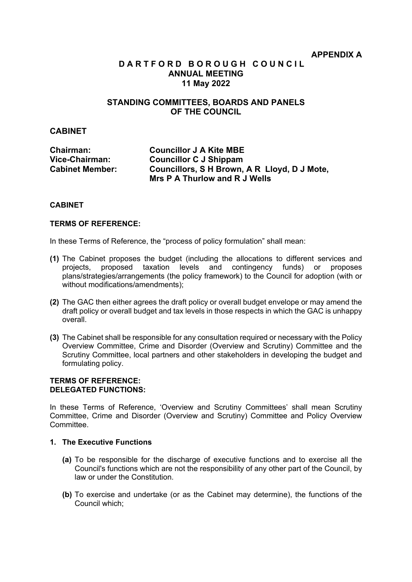## **D A R T F O R D B O R O U G H C O U N C I L ANNUAL MEETING 11 May 2022**

## **STANDING COMMITTEES, BOARDS AND PANELS OF THE COUNCIL**

## **CABINET**

| <b>Chairman:</b>       | <b>Councillor J A Kite MBE</b>               |
|------------------------|----------------------------------------------|
| Vice-Chairman:         | <b>Councillor C J Shippam</b>                |
| <b>Cabinet Member:</b> | Councillors, S H Brown, A R Lloyd, D J Mote, |
|                        | Mrs P A Thurlow and R J Wells                |

### **CABINET**

## **TERMS OF REFERENCE:**

In these Terms of Reference, the "process of policy formulation" shall mean:

- **(1)** The Cabinet proposes the budget (including the allocations to different services and projects, proposed taxation levels and contingency funds) or proposes plans/strategies/arrangements (the policy framework) to the Council for adoption (with or without modifications/amendments);
- **(2)** The GAC then either agrees the draft policy or overall budget envelope or may amend the draft policy or overall budget and tax levels in those respects in which the GAC is unhappy overall.
- **(3)** The Cabinet shall be responsible for any consultation required or necessary with the Policy Overview Committee, Crime and Disorder (Overview and Scrutiny) Committee and the Scrutiny Committee, local partners and other stakeholders in developing the budget and formulating policy.

## **TERMS OF REFERENCE: DELEGATED FUNCTIONS:**

In these Terms of Reference, 'Overview and Scrutiny Committees' shall mean Scrutiny Committee, Crime and Disorder (Overview and Scrutiny) Committee and Policy Overview Committee.

## **1. The Executive Functions**

- **(a)** To be responsible for the discharge of executive functions and to exercise all the Council's functions which are not the responsibility of any other part of the Council, by law or under the Constitution.
- **(b)** To exercise and undertake (or as the Cabinet may determine), the functions of the Council which;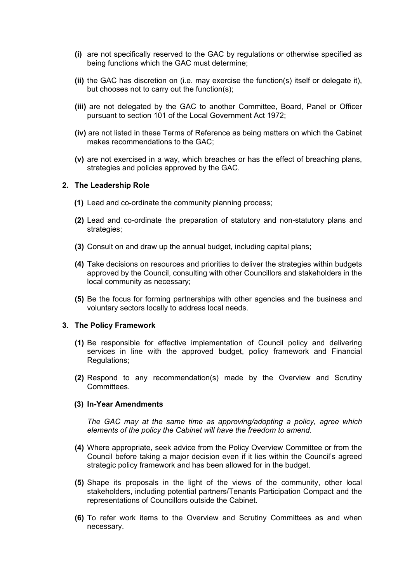- **(i)** are not specifically reserved to the GAC by regulations or otherwise specified as being functions which the GAC must determine;
- **(ii)** the GAC has discretion on (i.e. may exercise the function(s) itself or delegate it), but chooses not to carry out the function(s);
- **(iii)** are not delegated by the GAC to another Committee, Board, Panel or Officer pursuant to section 101 of the Local Government Act 1972;
- **(iv)** are not listed in these Terms of Reference as being matters on which the Cabinet makes recommendations to the GAC;
- **(v)** are not exercised in a way, which breaches or has the effect of breaching plans, strategies and policies approved by the GAC.

### **2. The Leadership Role**

- **(1)** Lead and co-ordinate the community planning process;
- **(2)** Lead and co-ordinate the preparation of statutory and non-statutory plans and strategies;
- **(3)** Consult on and draw up the annual budget, including capital plans;
- **(4)** Take decisions on resources and priorities to deliver the strategies within budgets approved by the Council, consulting with other Councillors and stakeholders in the local community as necessary;
- **(5)** Be the focus for forming partnerships with other agencies and the business and voluntary sectors locally to address local needs.

#### **3. The Policy Framework**

- **(1)** Be responsible for effective implementation of Council policy and delivering services in line with the approved budget, policy framework and Financial Regulations;
- **(2)** Respond to any recommendation(s) made by the Overview and Scrutiny **Committees**

#### **(3) In-Year Amendments**

*The GAC may at the same time as approving/adopting a policy, agree which elements of the policy the Cabinet will have the freedom to amend.*

- **(4)** Where appropriate, seek advice from the Policy Overview Committee or from the Council before taking a major decision even if it lies within the Council's agreed strategic policy framework and has been allowed for in the budget.
- **(5)** Shape its proposals in the light of the views of the community, other local stakeholders, including potential partners/Tenants Participation Compact and the representations of Councillors outside the Cabinet.
- **(6)** To refer work items to the Overview and Scrutiny Committees as and when necessary.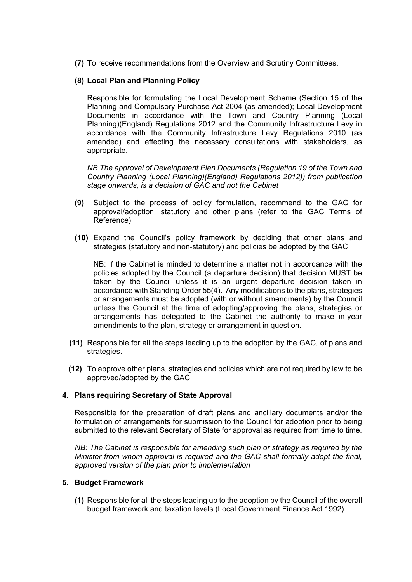**(7)** To receive recommendations from the Overview and Scrutiny Committees.

## **(8) Local Plan and Planning Policy**

Responsible for formulating the Local Development Scheme (Section 15 of the Planning and Compulsory Purchase Act 2004 (as amended); Local Development Documents in accordance with the Town and Country Planning (Local Planning)(England) Regulations 2012 and the Community Infrastructure Levy in accordance with the Community Infrastructure Levy Regulations 2010 (as amended) and effecting the necessary consultations with stakeholders, as appropriate.

*NB The approval of Development Plan Documents (Regulation 19 of the Town and Country Planning (Local Planning)(England) Regulations 2012)) from publication stage onwards, is a decision of GAC and not the Cabinet*

- **(9)** Subject to the process of policy formulation, recommend to the GAC for approval/adoption, statutory and other plans (refer to the GAC Terms of Reference).
- **(10)** Expand the Council's policy framework by deciding that other plans and strategies (statutory and non-statutory) and policies be adopted by the GAC.

NB: If the Cabinet is minded to determine a matter not in accordance with the policies adopted by the Council (a departure decision) that decision MUST be taken by the Council unless it is an urgent departure decision taken in accordance with Standing Order 55(4). Any modifications to the plans, strategies or arrangements must be adopted (with or without amendments) by the Council unless the Council at the time of adopting/approving the plans, strategies or arrangements has delegated to the Cabinet the authority to make in-year amendments to the plan, strategy or arrangement in question.

- **(11)** Responsible for all the steps leading up to the adoption by the GAC, of plans and strategies.
- **(12)** To approve other plans, strategies and policies which are not required by law to be approved/adopted by the GAC.

## **4. Plans requiring Secretary of State Approval**

Responsible for the preparation of draft plans and ancillary documents and/or the formulation of arrangements for submission to the Council for adoption prior to being submitted to the relevant Secretary of State for approval as required from time to time.

*NB: The Cabinet is responsible for amending such plan or strategy as required by the Minister from whom approval is required and the GAC shall formally adopt the final, approved version of the plan prior to implementation*

### **5. Budget Framework**

**(1)** Responsible for all the steps leading up to the adoption by the Council of the overall budget framework and taxation levels (Local Government Finance Act 1992).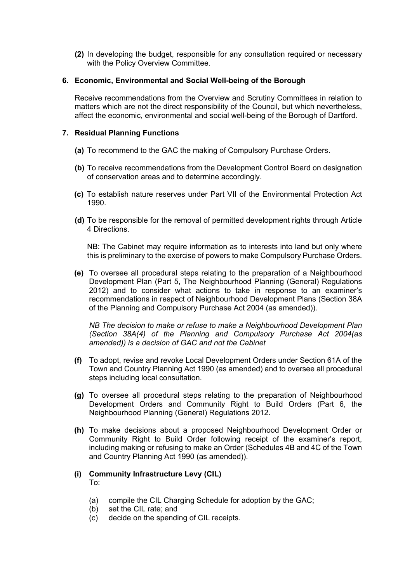**(2)** In developing the budget, responsible for any consultation required or necessary with the Policy Overview Committee.

## **6. Economic, Environmental and Social Well-being of the Borough**

Receive recommendations from the Overview and Scrutiny Committees in relation to matters which are not the direct responsibility of the Council, but which nevertheless, affect the economic, environmental and social well-being of the Borough of Dartford.

## **7. Residual Planning Functions**

- **(a)** To recommend to the GAC the making of Compulsory Purchase Orders.
- **(b)** To receive recommendations from the Development Control Board on designation of conservation areas and to determine accordingly.
- **(c)** To establish nature reserves under Part VII of the Environmental Protection Act 1990.
- **(d)** To be responsible for the removal of permitted development rights through Article 4 Directions.

NB: The Cabinet may require information as to interests into land but only where this is preliminary to the exercise of powers to make Compulsory Purchase Orders.

**(e)** To oversee all procedural steps relating to the preparation of a Neighbourhood Development Plan (Part 5, The Neighbourhood Planning (General) Regulations 2012) and to consider what actions to take in response to an examiner's recommendations in respect of Neighbourhood Development Plans (Section 38A of the Planning and Compulsory Purchase Act 2004 (as amended)).

*NB The decision to make or refuse to make a Neighbourhood Development Plan (Section 38A(4) of the Planning and Compulsory Purchase Act 2004(as amended)) is a decision of GAC and not the Cabinet*

- **(f)** To adopt, revise and revoke Local Development Orders under Section 61A of the Town and Country Planning Act 1990 (as amended) and to oversee all procedural steps including local consultation.
- **(g)** To oversee all procedural steps relating to the preparation of Neighbourhood Development Orders and Community Right to Build Orders (Part 6, the Neighbourhood Planning (General) Regulations 2012.
- **(h)** To make decisions about a proposed Neighbourhood Development Order or Community Right to Build Order following receipt of the examiner's report, including making or refusing to make an Order (Schedules 4B and 4C of the Town and Country Planning Act 1990 (as amended)).

## **(i) Community Infrastructure Levy (CIL)**

To:

- (a) compile the CIL Charging Schedule for adoption by the GAC;
- (b) set the CIL rate; and
- (c) decide on the spending of CIL receipts.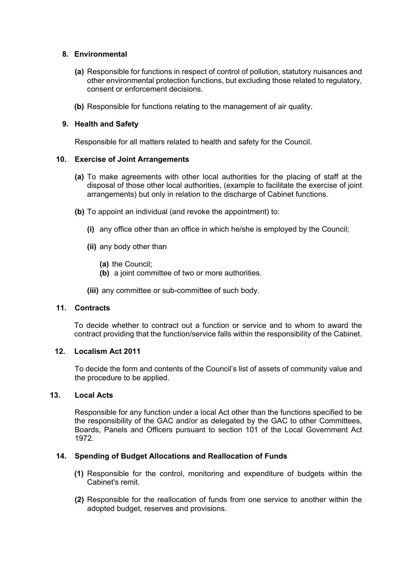## **8. Environmental**

- **(a)** Responsible for functions in respect of control of pollution, statutory nuisances and other environmental protection functions, but excluding those related to regulatory, consent or enforcement decisions.
- **(b)** Responsible for functions relating to the management of air quality.

## **9. Health and Safety**

Responsible for all matters related to health and safety for the Council.

## **10. Exercise of Joint Arrangements**

- **(a)** To make agreements with other local authorities for the placing of staff at the disposal of those other local authorities, (example to facilitate the exercise of joint arrangements) but only in relation to the discharge of Cabinet functions.
- **(b)** To appoint an individual (and revoke the appointment) to:
	- **(i)** any office other than an office in which he/she is employed by the Council;
	- **(ii)** any body other than
		- **(a)** the Council;
		- **(b)** a joint committee of two or more authorities.
	- **(iii)** any committee or sub-committee of such body.

## **11. Contracts**

To decide whether to contract out a function or service and to whom to award the contract providing that the function/service falls within the responsibility of the Cabinet.

### **12. Localism Act 2011**

To decide the form and contents of the Council's list of assets of community value and the procedure to be applied.

### **13. Local Acts**

Responsible for any function under a local Act other than the functions specified to be the responsibility of the GAC and/or as delegated by the GAC to other Committees, Boards, Panels and Officers pursuant to section 101 of the Local Government Act 1972.

### **14. Spending of Budget Allocations and Reallocation of Funds**

- **(1)** Responsible for the control, monitoring and expenditure of budgets within the Cabinet's remit.
- **(2)** Responsible for the reallocation of funds from one service to another within the adopted budget, reserves and provisions.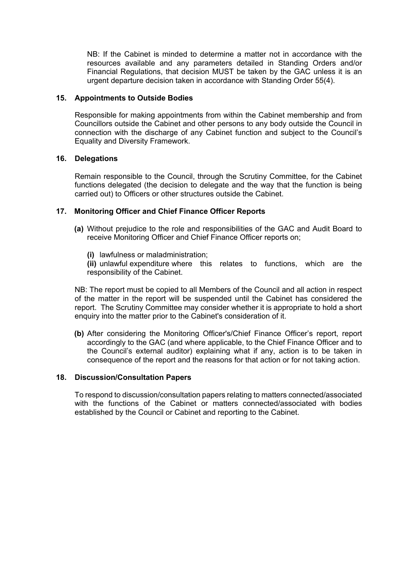NB: If the Cabinet is minded to determine a matter not in accordance with the resources available and any parameters detailed in Standing Orders and/or Financial Regulations, that decision MUST be taken by the GAC unless it is an urgent departure decision taken in accordance with Standing Order 55(4).

## **15. Appointments to Outside Bodies**

Responsible for making appointments from within the Cabinet membership and from Councillors outside the Cabinet and other persons to any body outside the Council in connection with the discharge of any Cabinet function and subject to the Council's Equality and Diversity Framework.

## **16. Delegations**

Remain responsible to the Council, through the Scrutiny Committee, for the Cabinet functions delegated (the decision to delegate and the way that the function is being carried out) to Officers or other structures outside the Cabinet.

## **17. Monitoring Officer and Chief Finance Officer Reports**

- **(a)** Without prejudice to the role and responsibilities of the GAC and Audit Board to receive Monitoring Officer and Chief Finance Officer reports on;
	- **(i)** lawfulness or maladministration;

**(ii)** unlawful expenditure where this relates to functions, which are the responsibility of the Cabinet.

NB: The report must be copied to all Members of the Council and all action in respect of the matter in the report will be suspended until the Cabinet has considered the report. The Scrutiny Committee may consider whether it is appropriate to hold a short enquiry into the matter prior to the Cabinet's consideration of it.

**(b)** After considering the Monitoring Officer's/Chief Finance Officer's report, report accordingly to the GAC (and where applicable, to the Chief Finance Officer and to the Council's external auditor) explaining what if any, action is to be taken in consequence of the report and the reasons for that action or for not taking action.

### **18. Discussion/Consultation Papers**

To respond to discussion/consultation papers relating to matters connected/associated with the functions of the Cabinet or matters connected/associated with bodies established by the Council or Cabinet and reporting to the Cabinet.